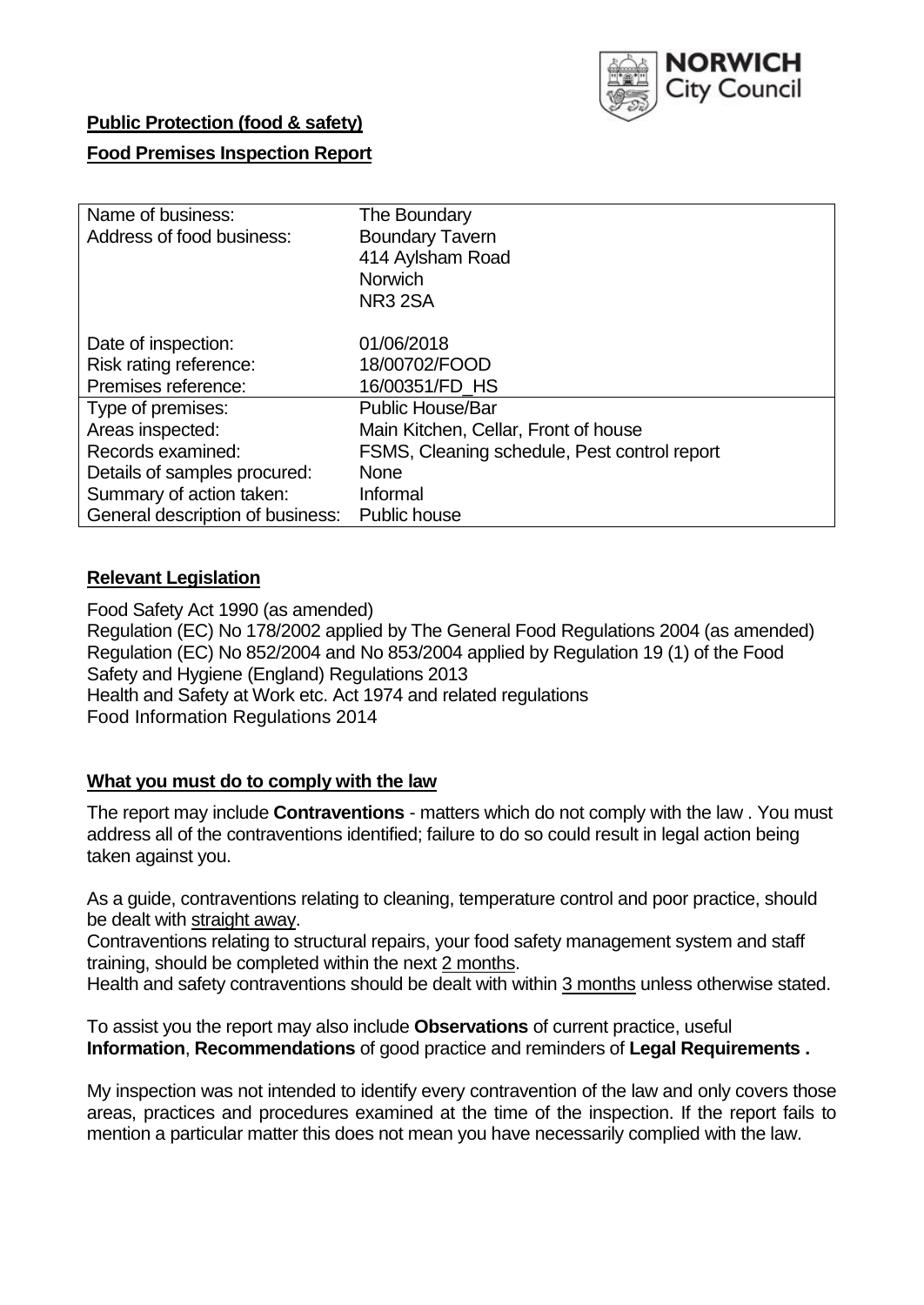

# **Public Protection (food & safety)**

## **Food Premises Inspection Report**

| Name of business:                | The Boundary                                 |
|----------------------------------|----------------------------------------------|
| Address of food business:        | <b>Boundary Tavern</b>                       |
|                                  | 414 Aylsham Road                             |
|                                  | <b>Norwich</b>                               |
|                                  | NR <sub>3</sub> 2SA                          |
| Date of inspection:              | 01/06/2018                                   |
| Risk rating reference:           | 18/00702/FOOD                                |
| Premises reference:              | 16/00351/FD HS                               |
| Type of premises:                | <b>Public House/Bar</b>                      |
| Areas inspected:                 | Main Kitchen, Cellar, Front of house         |
| Records examined:                | FSMS, Cleaning schedule, Pest control report |
| Details of samples procured:     | <b>None</b>                                  |
| Summary of action taken:         | Informal                                     |
| General description of business: | Public house                                 |

## **Relevant Legislation**

Food Safety Act 1990 (as amended) Regulation (EC) No 178/2002 applied by The General Food Regulations 2004 (as amended) Regulation (EC) No 852/2004 and No 853/2004 applied by Regulation 19 (1) of the Food Safety and Hygiene (England) Regulations 2013 Health and Safety at Work etc. Act 1974 and related regulations Food Information Regulations 2014

## **What you must do to comply with the law**

The report may include **Contraventions** - matters which do not comply with the law . You must address all of the contraventions identified; failure to do so could result in legal action being taken against you.

As a guide, contraventions relating to cleaning, temperature control and poor practice, should be dealt with straight away.

Contraventions relating to structural repairs, your food safety management system and staff training, should be completed within the next 2 months.

Health and safety contraventions should be dealt with within 3 months unless otherwise stated.

To assist you the report may also include **Observations** of current practice, useful **Information**, **Recommendations** of good practice and reminders of **Legal Requirements .**

My inspection was not intended to identify every contravention of the law and only covers those areas, practices and procedures examined at the time of the inspection. If the report fails to mention a particular matter this does not mean you have necessarily complied with the law.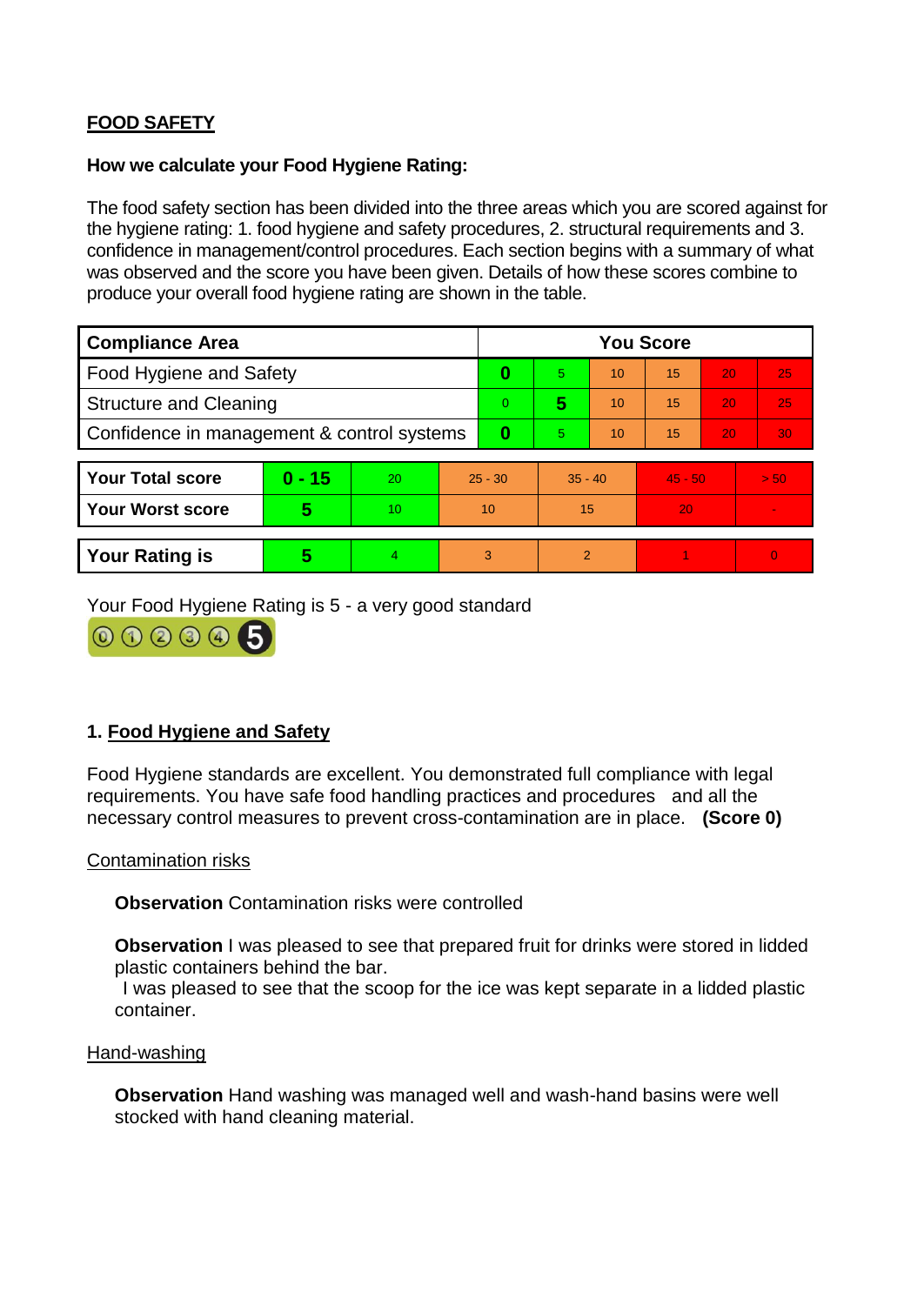# **FOOD SAFETY**

#### **How we calculate your Food Hygiene Rating:**

The food safety section has been divided into the three areas which you are scored against for the hygiene rating: 1. food hygiene and safety procedures, 2. structural requirements and 3. confidence in management/control procedures. Each section begins with a summary of what was observed and the score you have been given. Details of how these scores combine to produce your overall food hygiene rating are shown in the table.

| <b>Compliance Area</b>                     |          |    |                | <b>You Score</b> |                |    |           |    |                |  |  |
|--------------------------------------------|----------|----|----------------|------------------|----------------|----|-----------|----|----------------|--|--|
| Food Hygiene and Safety                    |          |    | 0              | 5.               | 10             | 15 | 20        | 25 |                |  |  |
| <b>Structure and Cleaning</b>              |          |    | $\overline{0}$ | 5                | 10             | 15 | 20        | 25 |                |  |  |
| Confidence in management & control systems |          |    | 0              | 5                | 10             | 15 | 20        | 30 |                |  |  |
|                                            |          |    |                |                  |                |    |           |    |                |  |  |
| <b>Your Total score</b>                    | $0 - 15$ | 20 | $25 - 30$      |                  | $35 - 40$      |    | $45 - 50$ |    | > 50           |  |  |
| <b>Your Worst score</b>                    | 5        | 10 | 10             |                  | 15             |    | 20        |    | $\blacksquare$ |  |  |
|                                            |          |    |                |                  |                |    |           |    |                |  |  |
| <b>Your Rating is</b>                      | 5        | 4  | 3              |                  | $\overline{2}$ |    |           |    | $\Omega$       |  |  |

Your Food Hygiene Rating is 5 - a very good standard



# **1. Food Hygiene and Safety**

Food Hygiene standards are excellent. You demonstrated full compliance with legal requirements. You have safe food handling practices and procedures and all the necessary control measures to prevent cross-contamination are in place. **(Score 0)**

#### Contamination risks

**Observation** Contamination risks were controlled

**Observation** I was pleased to see that prepared fruit for drinks were stored in lidded plastic containers behind the bar.

I was pleased to see that the scoop for the ice was kept separate in a lidded plastic container.

#### Hand-washing

**Observation** Hand washing was managed well and wash-hand basins were well stocked with hand cleaning material.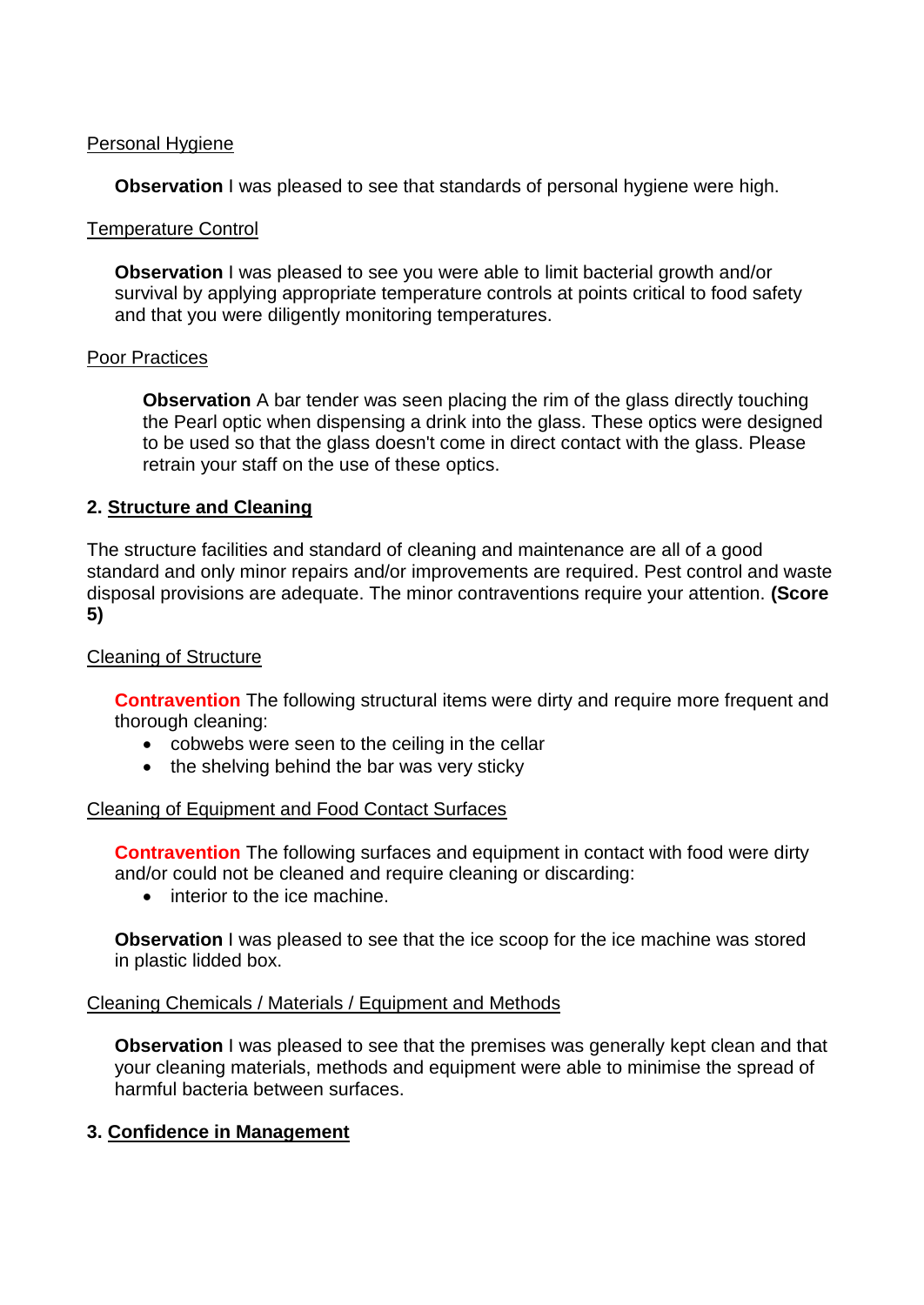## Personal Hygiene

**Observation** I was pleased to see that standards of personal hygiene were high.

#### Temperature Control

**Observation** I was pleased to see you were able to limit bacterial growth and/or survival by applying appropriate temperature controls at points critical to food safety and that you were diligently monitoring temperatures.

#### Poor Practices

**Observation** A bar tender was seen placing the rim of the glass directly touching the Pearl optic when dispensing a drink into the glass. These optics were designed to be used so that the glass doesn't come in direct contact with the glass. Please retrain your staff on the use of these optics.

## **2. Structure and Cleaning**

The structure facilities and standard of cleaning and maintenance are all of a good standard and only minor repairs and/or improvements are required. Pest control and waste disposal provisions are adequate. The minor contraventions require your attention. **(Score 5)**

## Cleaning of Structure

**Contravention** The following structural items were dirty and require more frequent and thorough cleaning:

- cobwebs were seen to the ceiling in the cellar
- the shelving behind the bar was very sticky

#### Cleaning of Equipment and Food Contact Surfaces

**Contravention** The following surfaces and equipment in contact with food were dirty and/or could not be cleaned and require cleaning or discarding:

• interior to the ice machine.

**Observation** I was pleased to see that the ice scoop for the ice machine was stored in plastic lidded box.

#### Cleaning Chemicals / Materials / Equipment and Methods

**Observation** I was pleased to see that the premises was generally kept clean and that your cleaning materials, methods and equipment were able to minimise the spread of harmful bacteria between surfaces.

## **3. Confidence in Management**